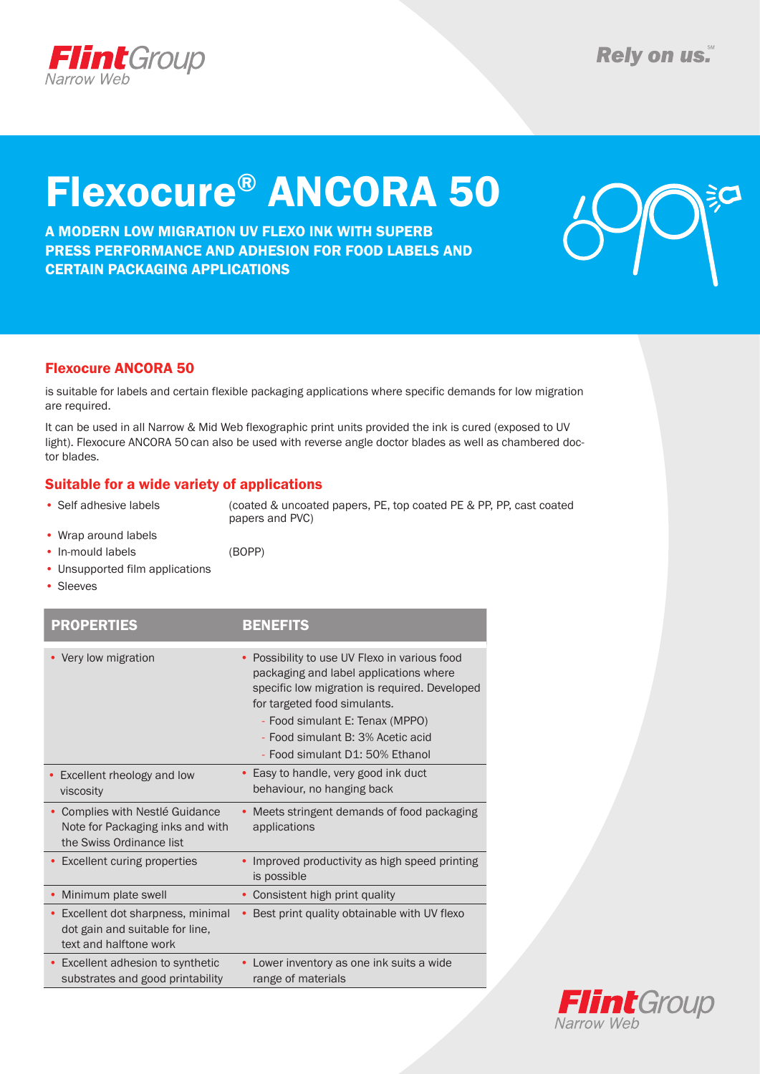

# Flexocure® ANCORA 50

A MODERN LOW MIGRATION UV FLEXO INK WITH SUPERB PRESS PERFORMANCE AND ADHESION FOR FOOD LABELS AND CERTAIN PACKAGING APPLICATIONS



### Flexocure ANCORA 50

is suitable for labels and certain flexible packaging applications where specific demands for low migration are required.

It can be used in all Narrow & Mid Web flexographic print units provided the ink is cured (exposed to UV light). Flexocure ANCORA 50can also be used with reverse angle doctor blades as well as chambered doctor blades.

### Suitable for a wide variety of applications

• Self adhesive labels (coated & uncoated papers, PE, top coated PE & PP, PP, cast coated papers and PVC)

- Wrap around labels • In-mould labels (BOPP)
- 
- Unsupported film applications
- • Sleeves

| <b>PROPERTIES</b>                                                                             | <b>BENEFITS</b>                                                                                                                                                                                                                                                                                |
|-----------------------------------------------------------------------------------------------|------------------------------------------------------------------------------------------------------------------------------------------------------------------------------------------------------------------------------------------------------------------------------------------------|
| • Very low migration                                                                          | Possibility to use UV Flexo in various food<br>$\bullet$<br>packaging and label applications where<br>specific low migration is required. Developed<br>for targeted food simulants.<br>- Food simulant E: Tenax (MPPO)<br>- Food simulant B: 3% Acetic acid<br>- Food simulant D1: 50% Ethanol |
| Excellent rheology and low<br>viscosity                                                       | • Easy to handle, very good ink duct<br>behaviour, no hanging back                                                                                                                                                                                                                             |
| Complies with Nestlé Guidance<br>Note for Packaging inks and with<br>the Swiss Ordinance list | Meets stringent demands of food packaging<br>applications                                                                                                                                                                                                                                      |
| <b>Excellent curing properties</b>                                                            | Improved productivity as high speed printing<br>is possible                                                                                                                                                                                                                                    |
| Minimum plate swell                                                                           | Consistent high print quality                                                                                                                                                                                                                                                                  |
| Excellent dot sharpness, minimal<br>dot gain and suitable for line,<br>text and halftone work | Best print quality obtainable with UV flexo<br>٠                                                                                                                                                                                                                                               |
| Excellent adhesion to synthetic<br>substrates and good printability                           | Lower inventory as one ink suits a wide<br>range of materials                                                                                                                                                                                                                                  |